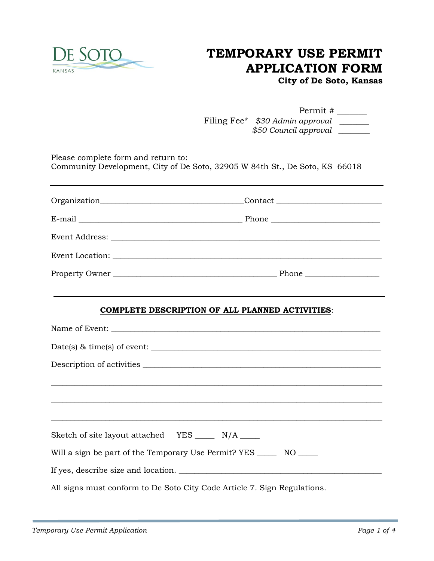

## **TEMPORARY USE PERMIT APPLICATION FORM**

**City of De Soto, Kansas**

| Permit #                        |  |
|---------------------------------|--|
| Filing Fee* \$30 Admin approval |  |
| \$50 Council approval           |  |

Please complete form and return to: Community Development, City of De Soto, 32905 W 84th St., De Soto, KS 66018

|                                                                          | <b>COMPLETE DESCRIPTION OF ALL PLANNED ACTIVITIES:</b> |
|--------------------------------------------------------------------------|--------------------------------------------------------|
|                                                                          |                                                        |
|                                                                          | Date(s) $\&$ time(s) of event: $\qquad \qquad$         |
|                                                                          |                                                        |
|                                                                          |                                                        |
| Sketch of site layout attached YES ______ N/A _____                      |                                                        |
| Will a sign be part of the Temporary Use Permit? YES _______ NO ______   |                                                        |
|                                                                          | If yes, describe size and location.                    |
| All signs must conform to De Soto City Code Article 7. Sign Regulations. |                                                        |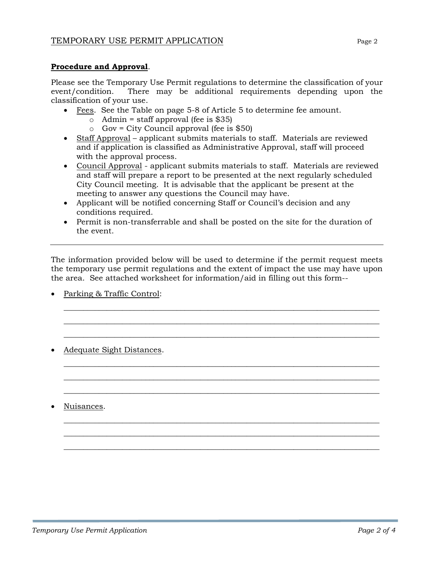## **Procedure and Approval**.

Please see the Temporary Use Permit regulations to determine the classification of your event/condition. There may be additional requirements depending upon the classification of your use.

- Fees. See the Table on page 5-8 of Article 5 to determine fee amount.
	- $\circ$  Admin = staff approval (fee is \$35)
	- $\circ$  Gov = City Council approval (fee is \$50)
- Staff Approval applicant submits materials to staff. Materials are reviewed and if application is classified as Administrative Approval, staff will proceed with the approval process.
- Council Approval applicant submits materials to staff. Materials are reviewed and staff will prepare a report to be presented at the next regularly scheduled City Council meeting. It is advisable that the applicant be present at the meeting to answer any questions the Council may have.
- Applicant will be notified concerning Staff or Council's decision and any conditions required.
- Permit is non-transferrable and shall be posted on the site for the duration of the event.

The information provided below will be used to determine if the permit request meets the temporary use permit regulations and the extent of impact the use may have upon the area. See attached worksheet for information/aid in filling out this form--

\_\_\_\_\_\_\_\_\_\_\_\_\_\_\_\_\_\_\_\_\_\_\_\_\_\_\_\_\_\_\_\_\_\_\_\_\_\_\_\_\_\_\_\_\_\_\_\_\_\_\_\_\_\_\_\_\_\_\_\_\_\_\_\_\_\_\_\_\_\_\_\_\_\_\_\_\_\_\_\_\_ \_\_\_\_\_\_\_\_\_\_\_\_\_\_\_\_\_\_\_\_\_\_\_\_\_\_\_\_\_\_\_\_\_\_\_\_\_\_\_\_\_\_\_\_\_\_\_\_\_\_\_\_\_\_\_\_\_\_\_\_\_\_\_\_\_\_\_\_\_\_\_\_\_\_\_\_\_\_\_\_\_ \_\_\_\_\_\_\_\_\_\_\_\_\_\_\_\_\_\_\_\_\_\_\_\_\_\_\_\_\_\_\_\_\_\_\_\_\_\_\_\_\_\_\_\_\_\_\_\_\_\_\_\_\_\_\_\_\_\_\_\_\_\_\_\_\_\_\_\_\_\_\_\_\_\_\_\_\_\_\_\_\_

\_\_\_\_\_\_\_\_\_\_\_\_\_\_\_\_\_\_\_\_\_\_\_\_\_\_\_\_\_\_\_\_\_\_\_\_\_\_\_\_\_\_\_\_\_\_\_\_\_\_\_\_\_\_\_\_\_\_\_\_\_\_\_\_\_\_\_\_\_\_\_\_\_\_\_\_\_\_\_\_\_ \_\_\_\_\_\_\_\_\_\_\_\_\_\_\_\_\_\_\_\_\_\_\_\_\_\_\_\_\_\_\_\_\_\_\_\_\_\_\_\_\_\_\_\_\_\_\_\_\_\_\_\_\_\_\_\_\_\_\_\_\_\_\_\_\_\_\_\_\_\_\_\_\_\_\_\_\_\_\_\_\_ \_\_\_\_\_\_\_\_\_\_\_\_\_\_\_\_\_\_\_\_\_\_\_\_\_\_\_\_\_\_\_\_\_\_\_\_\_\_\_\_\_\_\_\_\_\_\_\_\_\_\_\_\_\_\_\_\_\_\_\_\_\_\_\_\_\_\_\_\_\_\_\_\_\_\_\_\_\_\_\_\_

\_\_\_\_\_\_\_\_\_\_\_\_\_\_\_\_\_\_\_\_\_\_\_\_\_\_\_\_\_\_\_\_\_\_\_\_\_\_\_\_\_\_\_\_\_\_\_\_\_\_\_\_\_\_\_\_\_\_\_\_\_\_\_\_\_\_\_\_\_\_\_\_\_\_\_\_\_\_\_\_\_ \_\_\_\_\_\_\_\_\_\_\_\_\_\_\_\_\_\_\_\_\_\_\_\_\_\_\_\_\_\_\_\_\_\_\_\_\_\_\_\_\_\_\_\_\_\_\_\_\_\_\_\_\_\_\_\_\_\_\_\_\_\_\_\_\_\_\_\_\_\_\_\_\_\_\_\_\_\_\_\_\_ \_\_\_\_\_\_\_\_\_\_\_\_\_\_\_\_\_\_\_\_\_\_\_\_\_\_\_\_\_\_\_\_\_\_\_\_\_\_\_\_\_\_\_\_\_\_\_\_\_\_\_\_\_\_\_\_\_\_\_\_\_\_\_\_\_\_\_\_\_\_\_\_\_\_\_\_\_\_\_\_\_

- Parking & Traffic Control:
- Adequate Sight Distances.

Nuisances.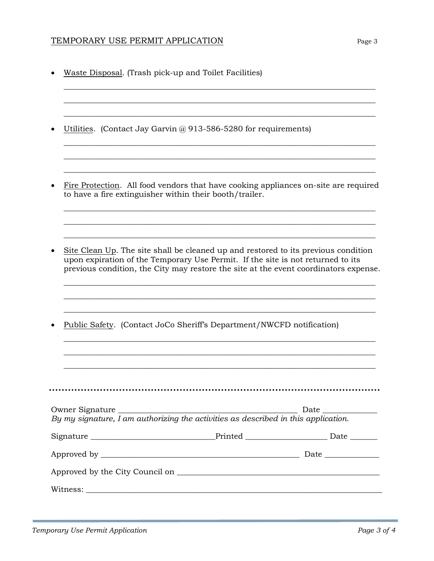## TEMPORARY USE PERMIT APPLICATION TEMPORARY USE PARALLY APPLICATION

• Waste Disposal. (Trash pick-up and Toilet Facilities) \_\_\_\_\_\_\_\_\_\_\_\_\_\_\_\_\_\_\_\_\_\_\_\_\_\_\_\_\_\_\_\_\_\_\_\_\_\_\_\_\_\_\_\_\_\_\_\_\_\_\_\_\_\_\_\_\_\_\_\_\_\_\_\_\_\_\_\_\_\_\_\_\_\_\_\_\_\_\_\_ \_\_\_\_\_\_\_\_\_\_\_\_\_\_\_\_\_\_\_\_\_\_\_\_\_\_\_\_\_\_\_\_\_\_\_\_\_\_\_\_\_\_\_\_\_\_\_\_\_\_\_\_\_\_\_\_\_\_\_\_\_\_\_\_\_\_\_\_\_\_\_\_\_\_\_\_\_\_\_\_ \_\_\_\_\_\_\_\_\_\_\_\_\_\_\_\_\_\_\_\_\_\_\_\_\_\_\_\_\_\_\_\_\_\_\_\_\_\_\_\_\_\_\_\_\_\_\_\_\_\_\_\_\_\_\_\_\_\_\_\_\_\_\_\_\_\_\_\_\_\_\_\_\_\_\_\_\_\_\_\_ Utilities. (Contact Jay Garvin  $\omega$  913-586-5280 for requirements) \_\_\_\_\_\_\_\_\_\_\_\_\_\_\_\_\_\_\_\_\_\_\_\_\_\_\_\_\_\_\_\_\_\_\_\_\_\_\_\_\_\_\_\_\_\_\_\_\_\_\_\_\_\_\_\_\_\_\_\_\_\_\_\_\_\_\_\_\_\_\_\_\_\_\_\_\_\_\_\_ \_\_\_\_\_\_\_\_\_\_\_\_\_\_\_\_\_\_\_\_\_\_\_\_\_\_\_\_\_\_\_\_\_\_\_\_\_\_\_\_\_\_\_\_\_\_\_\_\_\_\_\_\_\_\_\_\_\_\_\_\_\_\_\_\_\_\_\_\_\_\_\_\_\_\_\_\_\_\_\_ \_\_\_\_\_\_\_\_\_\_\_\_\_\_\_\_\_\_\_\_\_\_\_\_\_\_\_\_\_\_\_\_\_\_\_\_\_\_\_\_\_\_\_\_\_\_\_\_\_\_\_\_\_\_\_\_\_\_\_\_\_\_\_\_\_\_\_\_\_\_\_\_\_\_\_\_\_\_\_\_ • Fire Protection. All food vendors that have cooking appliances on-site are required to have a fire extinguisher within their booth/trailer. \_\_\_\_\_\_\_\_\_\_\_\_\_\_\_\_\_\_\_\_\_\_\_\_\_\_\_\_\_\_\_\_\_\_\_\_\_\_\_\_\_\_\_\_\_\_\_\_\_\_\_\_\_\_\_\_\_\_\_\_\_\_\_\_\_\_\_\_\_\_\_\_\_\_\_\_\_\_\_\_ \_\_\_\_\_\_\_\_\_\_\_\_\_\_\_\_\_\_\_\_\_\_\_\_\_\_\_\_\_\_\_\_\_\_\_\_\_\_\_\_\_\_\_\_\_\_\_\_\_\_\_\_\_\_\_\_\_\_\_\_\_\_\_\_\_\_\_\_\_\_\_\_\_\_\_\_\_\_\_\_ \_\_\_\_\_\_\_\_\_\_\_\_\_\_\_\_\_\_\_\_\_\_\_\_\_\_\_\_\_\_\_\_\_\_\_\_\_\_\_\_\_\_\_\_\_\_\_\_\_\_\_\_\_\_\_\_\_\_\_\_\_\_\_\_\_\_\_\_\_\_\_\_\_\_\_\_\_\_\_\_ • Site Clean Up. The site shall be cleaned up and restored to its previous condition upon expiration of the Temporary Use Permit. If the site is not returned to its previous condition, the City may restore the site at the event coordinators expense. \_\_\_\_\_\_\_\_\_\_\_\_\_\_\_\_\_\_\_\_\_\_\_\_\_\_\_\_\_\_\_\_\_\_\_\_\_\_\_\_\_\_\_\_\_\_\_\_\_\_\_\_\_\_\_\_\_\_\_\_\_\_\_\_\_\_\_\_\_\_\_\_\_\_\_\_\_\_\_\_ \_\_\_\_\_\_\_\_\_\_\_\_\_\_\_\_\_\_\_\_\_\_\_\_\_\_\_\_\_\_\_\_\_\_\_\_\_\_\_\_\_\_\_\_\_\_\_\_\_\_\_\_\_\_\_\_\_\_\_\_\_\_\_\_\_\_\_\_\_\_\_\_\_\_\_\_\_\_\_\_ \_\_\_\_\_\_\_\_\_\_\_\_\_\_\_\_\_\_\_\_\_\_\_\_\_\_\_\_\_\_\_\_\_\_\_\_\_\_\_\_\_\_\_\_\_\_\_\_\_\_\_\_\_\_\_\_\_\_\_\_\_\_\_\_\_\_\_\_\_\_\_\_\_\_\_\_\_\_\_\_ • Public Safety. (Contact JoCo Sheriff's Department/NWCFD notification) \_\_\_\_\_\_\_\_\_\_\_\_\_\_\_\_\_\_\_\_\_\_\_\_\_\_\_\_\_\_\_\_\_\_\_\_\_\_\_\_\_\_\_\_\_\_\_\_\_\_\_\_\_\_\_\_\_\_\_\_\_\_\_\_\_\_\_\_\_\_\_\_\_\_\_\_\_\_\_\_ \_\_\_\_\_\_\_\_\_\_\_\_\_\_\_\_\_\_\_\_\_\_\_\_\_\_\_\_\_\_\_\_\_\_\_\_\_\_\_\_\_\_\_\_\_\_\_\_\_\_\_\_\_\_\_\_\_\_\_\_\_\_\_\_\_\_\_\_\_\_\_\_\_\_\_\_\_\_\_\_ \_\_\_\_\_\_\_\_\_\_\_\_\_\_\_\_\_\_\_\_\_\_\_\_\_\_\_\_\_\_\_\_\_\_\_\_\_\_\_\_\_\_\_\_\_\_\_\_\_\_\_\_\_\_\_\_\_\_\_\_\_\_\_\_\_\_\_\_\_\_\_\_\_\_\_\_\_\_\_\_ Owner Signature \_\_\_\_\_\_\_\_\_\_\_\_\_\_\_\_\_\_\_\_\_\_\_\_\_\_\_\_\_\_\_\_\_\_\_\_\_\_\_\_\_\_\_\_\_\_ Date \_\_\_\_\_\_\_\_\_\_\_\_\_\_ *By my signature, I am authorizing the activities as described in this application.* Signature \_\_\_\_\_\_\_\_\_\_\_\_\_\_\_\_\_\_\_\_\_\_\_\_\_\_\_\_\_\_\_\_Printed \_\_\_\_\_\_\_\_\_\_\_\_\_\_\_\_\_\_\_\_\_ Date \_\_\_\_\_\_\_ Approved by \_\_\_\_\_\_\_\_\_\_\_\_\_\_\_\_\_\_\_\_\_\_\_\_\_\_\_\_\_\_\_\_\_\_\_\_\_\_\_\_\_\_\_\_\_\_\_\_\_\_\_ Date \_\_\_\_\_\_\_\_\_\_\_\_\_\_ Approved by the City Council on  $\mathcal{L}$ Witness: